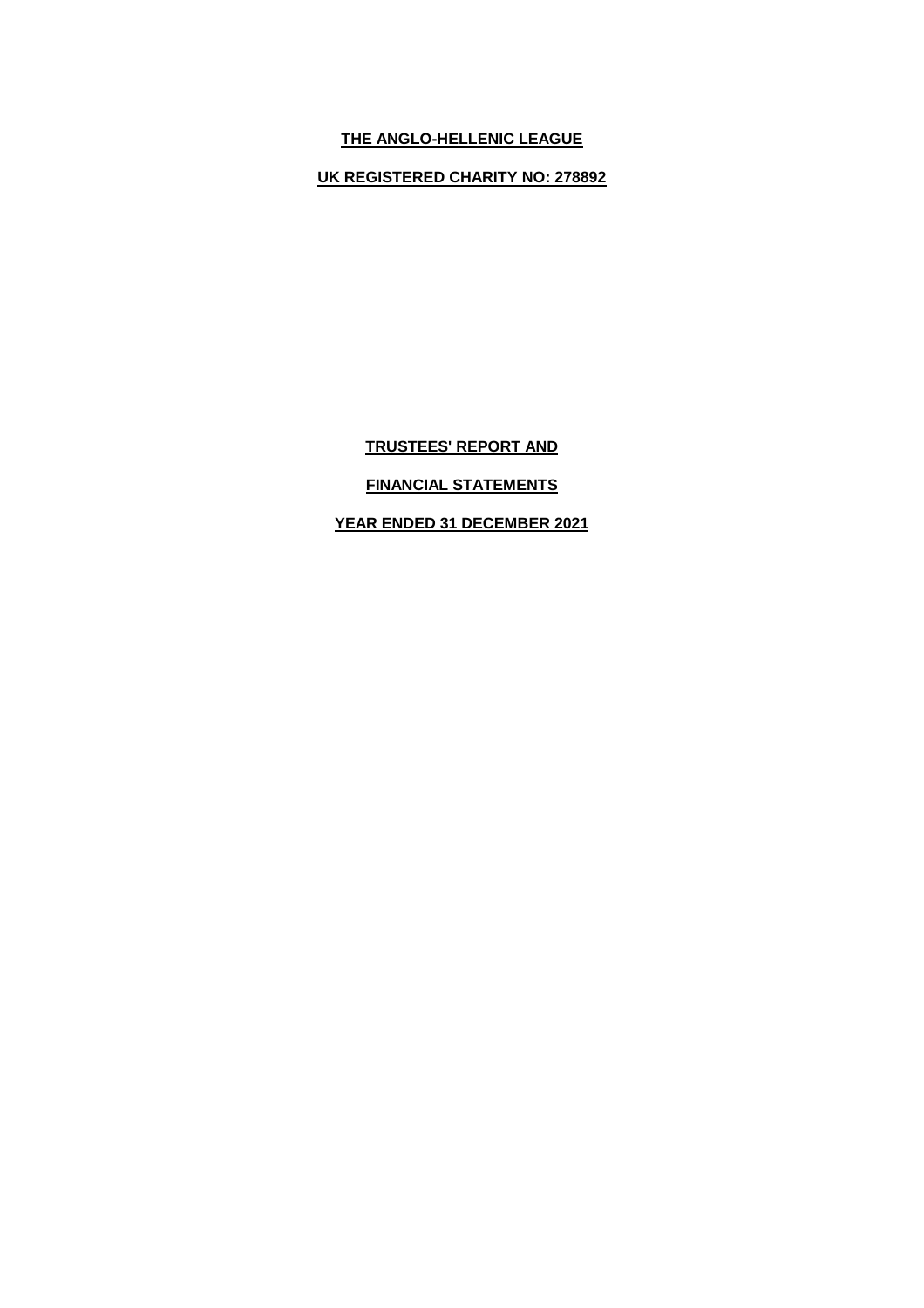# **THE ANGLO-HELLENIC LEAGUE**

**UK REGISTERED CHARITY NO: 278892**

**TRUSTEES' REPORT AND**

# **FINANCIAL STATEMENTS**

**YEAR ENDED 31 DECEMBER 2021**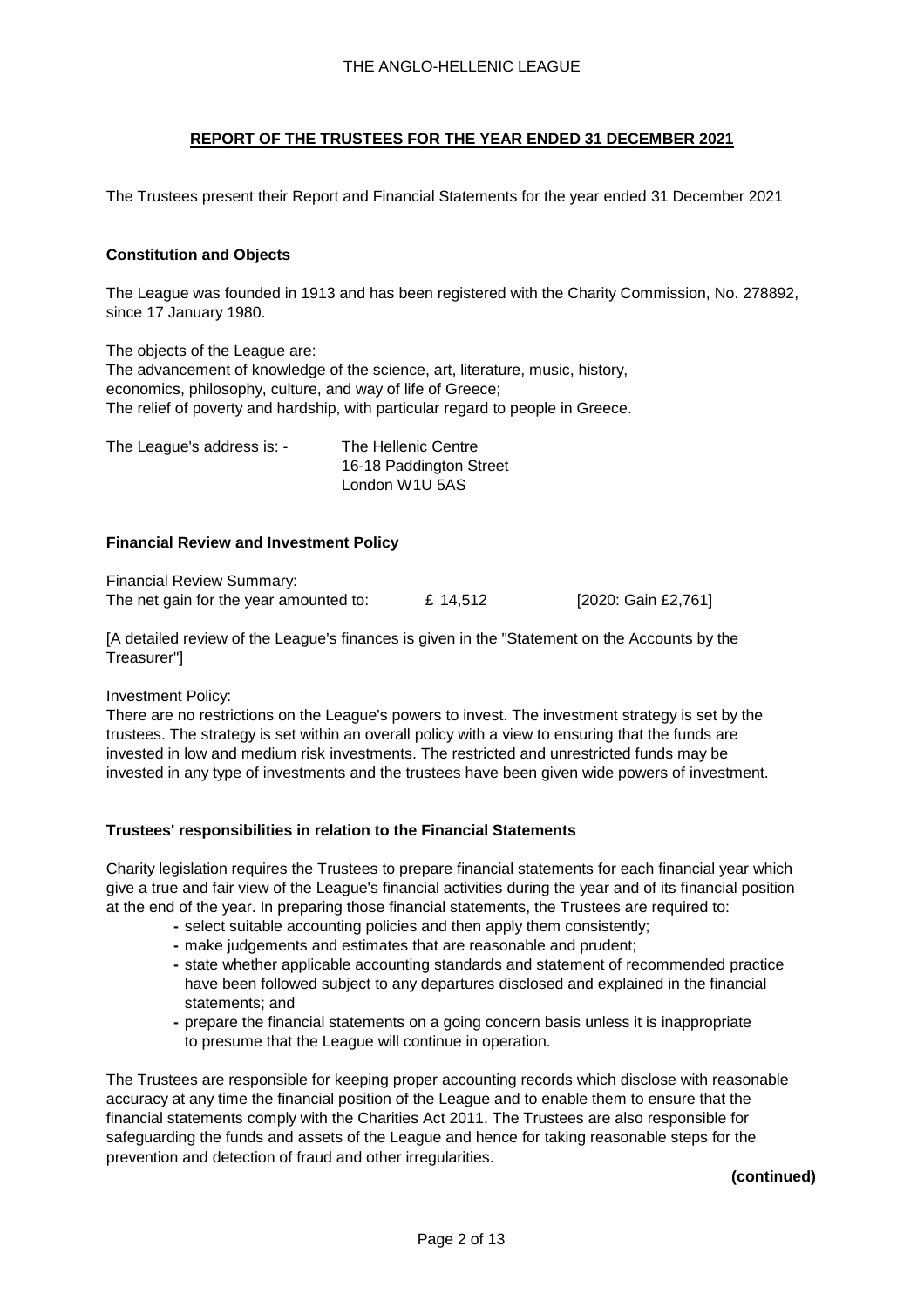The Trustees present their Report and Financial Statements for the year ended 31 December 2021

### **Constitution and Objects**

The League was founded in 1913 and has been registered with the Charity Commission, No. 278892, since 17 January 1980.

The objects of the League are: The advancement of knowledge of the science, art, literature, music, history, economics, philosophy, culture, and way of life of Greece; The relief of poverty and hardship, with particular regard to people in Greece.

The League's address is: - The Hellenic Centre 16-18 Paddington Street London W1U 5AS

### **Financial Review and Investment Policy**

Financial Review Summary: The net gain for the year amounted to:  $E = 14,512$  [2020: Gain £2,761]

[A detailed review of the League's finances is given in the "Statement on the Accounts by the Treasurer"]

Investment Policy:

There are no restrictions on the League's powers to invest. The investment strategy is set by the trustees. The strategy is set within an overall policy with a view to ensuring that the funds are invested in low and medium risk investments. The restricted and unrestricted funds may be invested in any type of investments and the trustees have been given wide powers of investment.

#### **Trustees' responsibilities in relation to the Financial Statements**

Charity legislation requires the Trustees to prepare financial statements for each financial year which give a true and fair view of the League's financial activities during the year and of its financial position at the end of the year. In preparing those financial statements, the Trustees are required to:

- **-** select suitable accounting policies and then apply them consistently;
- **-** make judgements and estimates that are reasonable and prudent;
- **-** state whether applicable accounting standards and statement of recommended practice have been followed subject to any departures disclosed and explained in the financial statements; and
- **-** prepare the financial statements on a going concern basis unless it is inappropriate to presume that the League will continue in operation.

The Trustees are responsible for keeping proper accounting records which disclose with reasonable accuracy at any time the financial position of the League and to enable them to ensure that the financial statements comply with the Charities Act 2011. The Trustees are also responsible for safeguarding the funds and assets of the League and hence for taking reasonable steps for the prevention and detection of fraud and other irregularities.

**(continued)**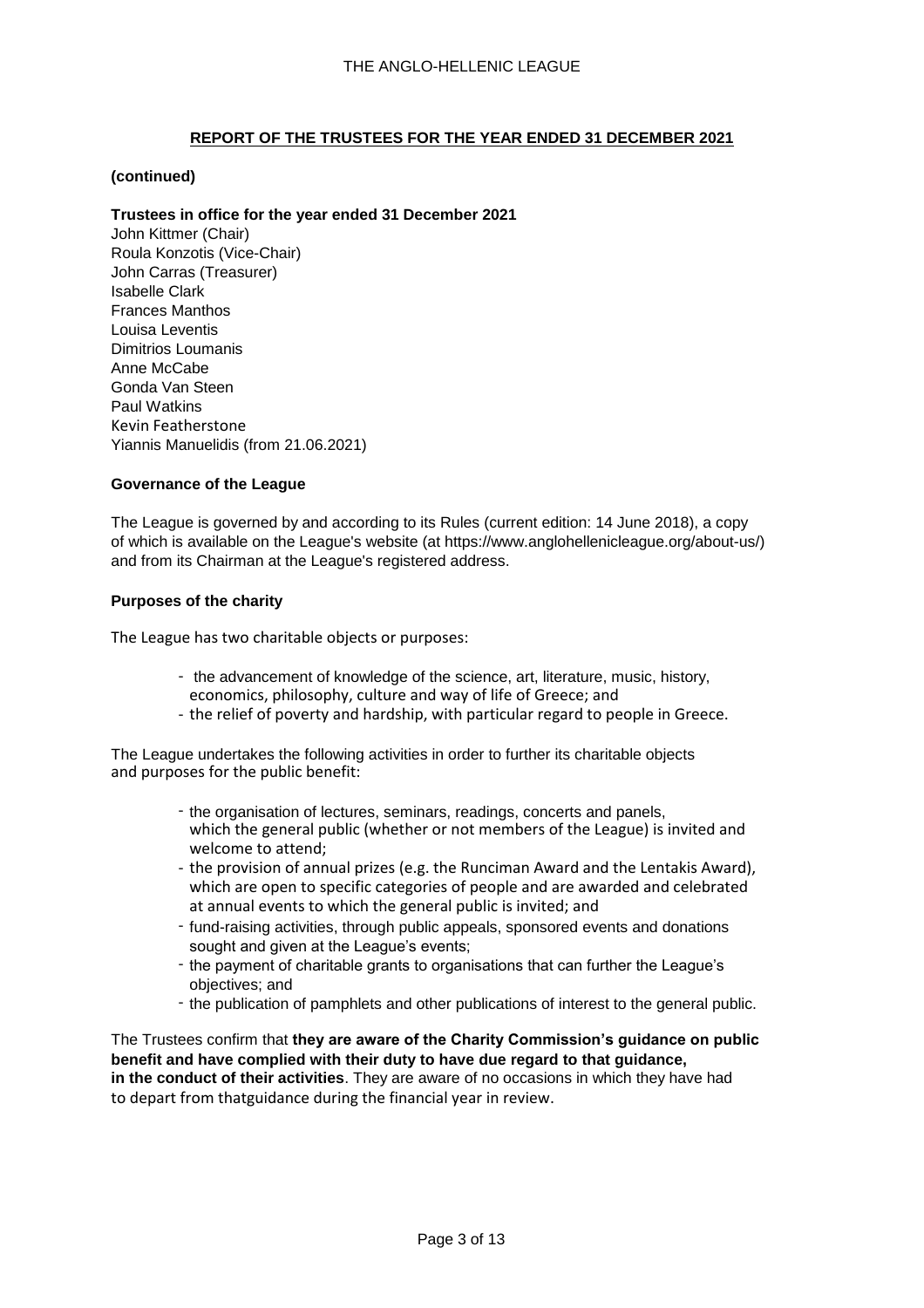### **(continued)**

### **Trustees in office for the year ended 31 December 2021**

John Kittmer (Chair) Roula Konzotis (Vice-Chair) John Carras (Treasurer) Isabelle Clark Frances Manthos Louisa Leventis Dimitrios Loumanis Anne McCabe Gonda Van Steen Paul Watkins Kevin Featherstone Yiannis Manuelidis (from 21.06.2021)

### **Governance of the League**

The League is governed by and according to its Rules (current edition: 14 June 2018), a copy of which is available on the League's website (at https://www.anglohellenicleague.org/about-us/) and from its Chairman at the League's registered address.

### **Purposes of the charity**

The League has two charitable objects or purposes:

- the advancement of knowledge of the science, art, literature, music, history, economics, philosophy, culture and way of life of Greece; and
- the relief of poverty and hardship, with particular regard to people in Greece.

The League undertakes the following activities in order to further its charitable objects and purposes for the public benefit:

- the organisation of lectures, seminars, readings, concerts and panels, which the general public (whether or not members of the League) is invited and welcome to attend;
- the provision of annual prizes (e.g. the Runciman Award and the Lentakis Award), which are open to specific categories of people and are awarded and celebrated at annual events to which the general public is invited; and
- fund-raising activities, through public appeals, sponsored events and donations sought and given at the League's events;
- the payment of charitable grants to organisations that can further the League's objectives; and
- the publication of pamphlets and other publications of interest to the general public.

The Trustees confirm that **they are aware of the Charity Commission's guidance on public benefit and have complied with their duty to have due regard to that guidance, in the conduct of their activities**. They are aware of no occasions in which they have had to depart from thatguidance during the financial year in review.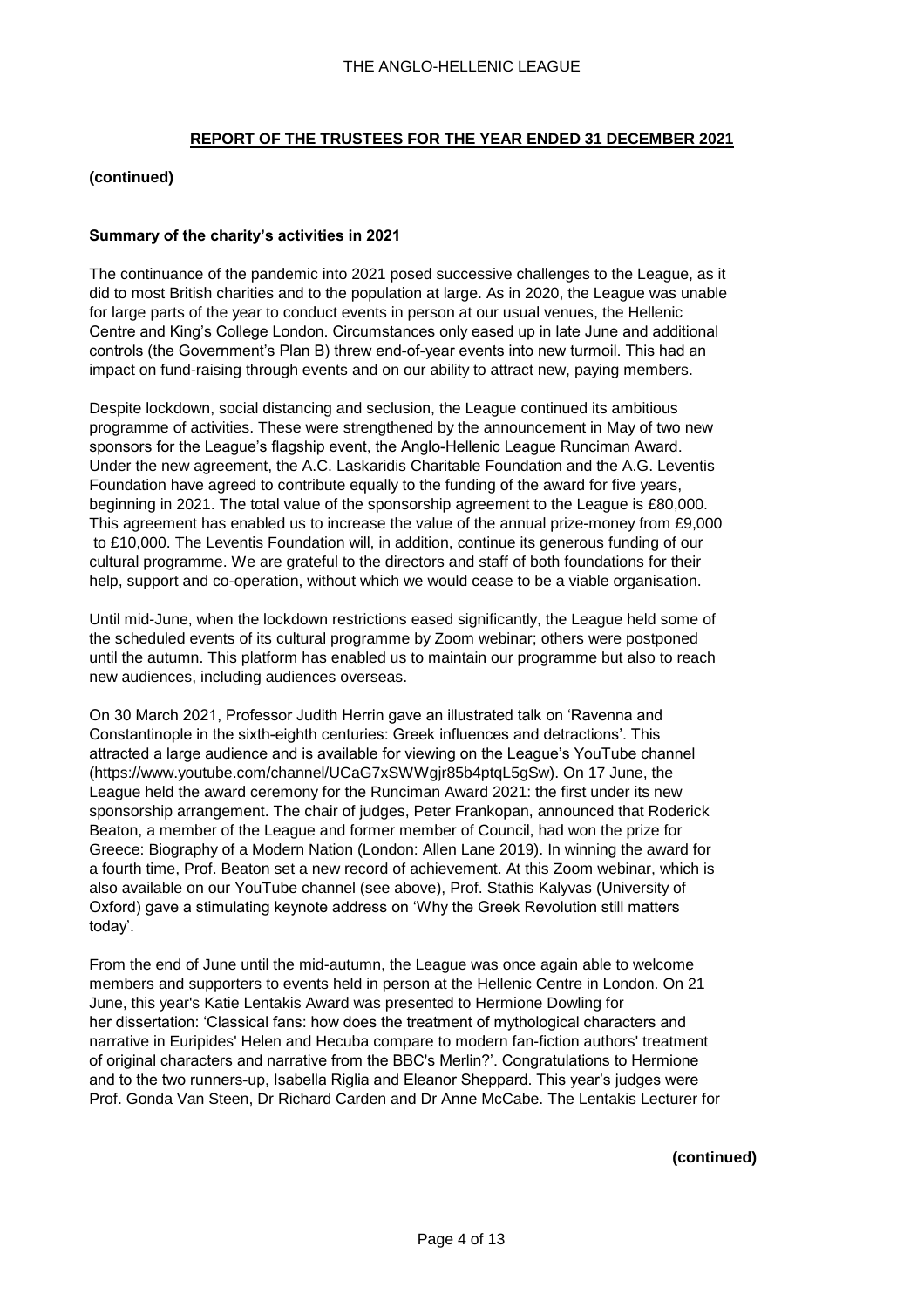### **(continued)**

### **Summary of the charity's activities in 2021**

The continuance of the pandemic into 2021 posed successive challenges to the League, as it did to most British charities and to the population at large. As in 2020, the League was unable for large parts of the year to conduct events in person at our usual venues, the Hellenic Centre and King's College London. Circumstances only eased up in late June and additional controls (the Government's Plan B) threw end-of-year events into new turmoil. This had an impact on fund-raising through events and on our ability to attract new, paying members.

Despite lockdown, social distancing and seclusion, the League continued its ambitious programme of activities. These were strengthened by the announcement in May of two new sponsors for the League's flagship event, the Anglo-Hellenic League Runciman Award. Under the new agreement, the A.C. Laskaridis Charitable Foundation and the A.G. Leventis Foundation have agreed to contribute equally to the funding of the award for five years, beginning in 2021. The total value of the sponsorship agreement to the League is £80,000. This agreement has enabled us to increase the value of the annual prize-money from £9,000 to £10,000. The Leventis Foundation will, in addition, continue its generous funding of our cultural programme. We are grateful to the directors and staff of both foundations for their help, support and co-operation, without which we would cease to be a viable organisation.

Until mid-June, when the lockdown restrictions eased significantly, the League held some of the scheduled events of its cultural programme by Zoom webinar; others were postponed until the autumn. This platform has enabled us to maintain our programme but also to reach new audiences, including audiences overseas.

On 30 March 2021, Professor Judith Herrin gave an illustrated talk on 'Ravenna and Constantinople in the sixth-eighth centuries: Greek influences and detractions'. This attracted a large audience and is available for viewing on the League's YouTube channel (https://www.youtube.com/channel/UCaG7xSWWgjr85b4ptqL5gSw). On 17 June, the League held the award ceremony for the Runciman Award 2021: the first under its new sponsorship arrangement. The chair of judges, Peter Frankopan, announced that Roderick Beaton, a member of the League and former member of Council, had won the prize for Greece: Biography of a Modern Nation (London: Allen Lane 2019). In winning the award for a fourth time, Prof. Beaton set a new record of achievement. At this Zoom webinar, which is also available on our YouTube channel (see above), Prof. Stathis Kalyvas (University of Oxford) gave a stimulating keynote address on 'Why the Greek Revolution still matters today'.

From the end of June until the mid-autumn, the League was once again able to welcome members and supporters to events held in person at the Hellenic Centre in London. On 21 June, this year's Katie Lentakis Award was presented to Hermione Dowling for her dissertation: 'Classical fans: how does the treatment of mythological characters and narrative in Euripides' Helen and Hecuba compare to modern fan-fiction authors' treatment of original characters and narrative from the BBC's Merlin?'. Congratulations to Hermione and to the two runners-up, Isabella Riglia and Eleanor Sheppard. This year's judges were Prof. Gonda Van Steen, Dr Richard Carden and Dr Anne McCabe. The Lentakis Lecturer for

#### **(continued)**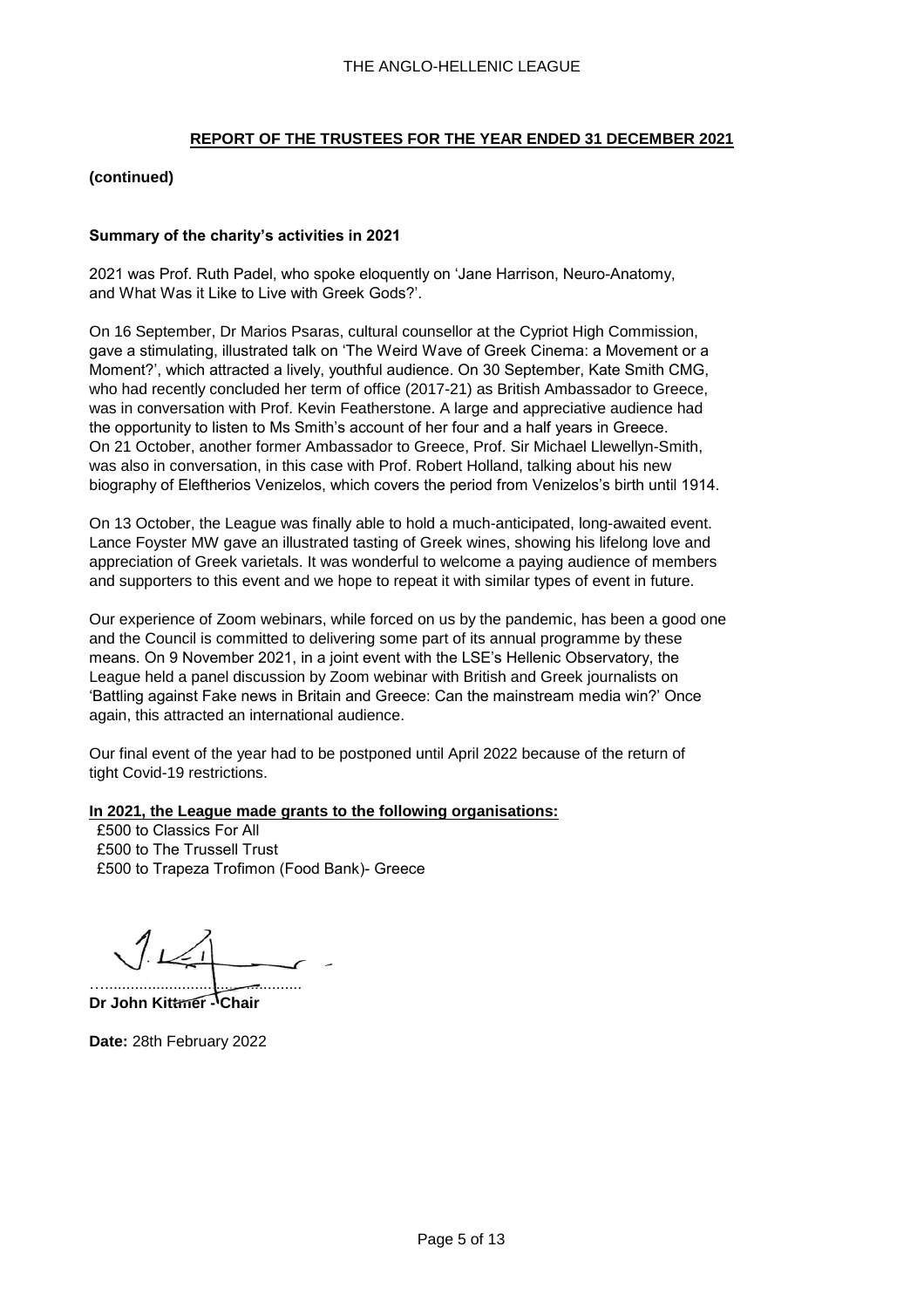### **(continued)**

### **Summary of the charity's activities in 2021**

2021 was Prof. Ruth Padel, who spoke eloquently on 'Jane Harrison, Neuro-Anatomy, and What Was it Like to Live with Greek Gods?'.

On 16 September, Dr Marios Psaras, cultural counsellor at the Cypriot High Commission, gave a stimulating, illustrated talk on 'The Weird Wave of Greek Cinema: a Movement or a Moment?', which attracted a lively, youthful audience. On 30 September, Kate Smith CMG, who had recently concluded her term of office (2017-21) as British Ambassador to Greece, was in conversation with Prof. Kevin Featherstone. A large and appreciative audience had the opportunity to listen to Ms Smith's account of her four and a half years in Greece. On 21 October, another former Ambassador to Greece, Prof. Sir Michael Llewellyn-Smith, was also in conversation, in this case with Prof. Robert Holland, talking about his new biography of Eleftherios Venizelos, which covers the period from Venizelos's birth until 1914.

On 13 October, the League was finally able to hold a much-anticipated, long-awaited event. Lance Foyster MW gave an illustrated tasting of Greek wines, showing his lifelong love and appreciation of Greek varietals. It was wonderful to welcome a paying audience of members and supporters to this event and we hope to repeat it with similar types of event in future.

Our experience of Zoom webinars, while forced on us by the pandemic, has been a good one and the Council is committed to delivering some part of its annual programme by these means. On 9 November 2021, in a joint event with the LSE's Hellenic Observatory, the League held a panel discussion by Zoom webinar with British and Greek journalists on 'Battling against Fake news in Britain and Greece: Can the mainstream media win?' Once again, this attracted an international audience.

Our final event of the year had to be postponed until April 2022 because of the return of tight Covid-19 restrictions.

#### **In 2021, the League made grants to the following organisations:**

 £500 to Classics For All £500 to The Trussell Trust £500 to Trapeza Trofimon (Food Bank)- Greece

…..............................................

**Dr John Kittmer - Chair** 

**Date:** 28th February 2022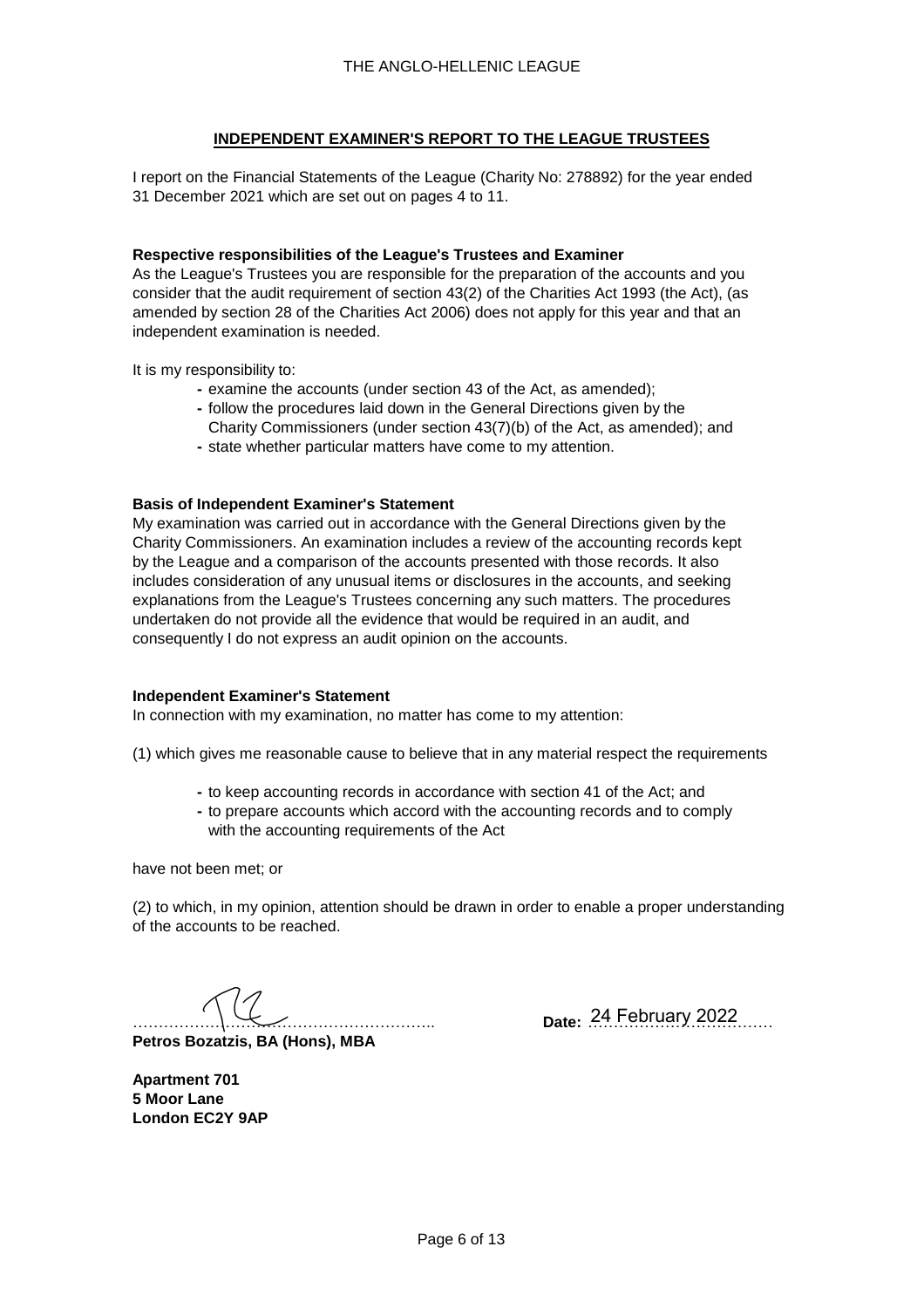## **INDEPENDENT EXAMINER'S REPORT TO THE LEAGUE TRUSTEES**

I report on the Financial Statements of the League (Charity No: 278892) for the year ended 31 December 2021 which are set out on pages 4 to 11.

### **Respective responsibilities of the League's Trustees and Examiner**

As the League's Trustees you are responsible for the preparation of the accounts and you consider that the audit requirement of section 43(2) of the Charities Act 1993 (the Act), (as amended by section 28 of the Charities Act 2006) does not apply for this year and that an independent examination is needed.

It is my responsibility to:

- **-** examine the accounts (under section 43 of the Act, as amended);
- **-** follow the procedures laid down in the General Directions given by the
- Charity Commissioners (under section 43(7)(b) of the Act, as amended); and
- **-** state whether particular matters have come to my attention.

### **Basis of Independent Examiner's Statement**

My examination was carried out in accordance with the General Directions given by the Charity Commissioners. An examination includes a review of the accounting records kept by the League and a comparison of the accounts presented with those records. It also includes consideration of any unusual items or disclosures in the accounts, and seeking explanations from the League's Trustees concerning any such matters. The procedures undertaken do not provide all the evidence that would be required in an audit, and consequently I do not express an audit opinion on the accounts.

#### **Independent Examiner's Statement**

In connection with my examination, no matter has come to my attention:

(1) which gives me reasonable cause to believe that in any material respect the requirements

- **-** to keep accounting records in accordance with section 41 of the Act; and
- **-** to prepare accounts which accord with the accounting records and to comply with the accounting requirements of the Act

have not been met; or

(2) to which, in my opinion, attention should be drawn in order to enable a proper understanding of the accounts to be reached.

………………………………………………….. **Date:** ……………………………… 24 February 2022

**Petros Bozatzis, BA (Hons), MBA**

**Apartment 701 5 Moor Lane London EC2Y 9AP**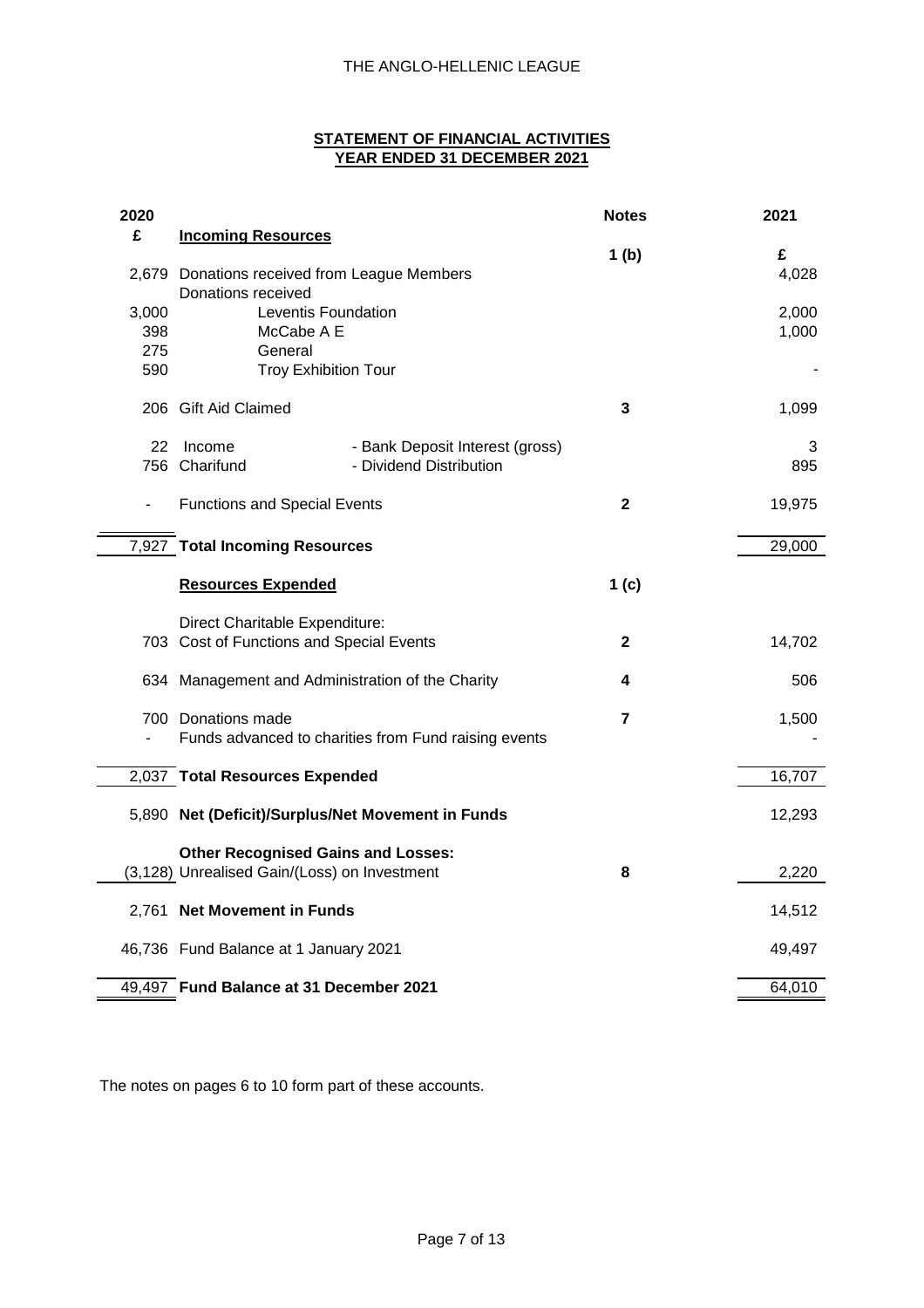### **STATEMENT OF FINANCIAL ACTIVITIES YEAR ENDED 31 DECEMBER 2021**

| 2020                     |                                                      |                                 | <b>Notes</b>     | 2021       |
|--------------------------|------------------------------------------------------|---------------------------------|------------------|------------|
| £                        | <b>Incoming Resources</b>                            |                                 |                  |            |
|                          | 2,679 Donations received from League Members         |                                 | 1 <sub>(b)</sub> | £<br>4,028 |
|                          | Donations received                                   |                                 |                  |            |
| 3,000                    | Leventis Foundation                                  |                                 |                  | 2,000      |
| 398                      | McCabe A E                                           |                                 |                  | 1,000      |
| 275                      | General                                              |                                 |                  |            |
| 590                      | <b>Troy Exhibition Tour</b>                          |                                 |                  |            |
|                          | 206 Gift Aid Claimed                                 |                                 | 3                | 1,099      |
| 22                       | Income                                               | - Bank Deposit Interest (gross) |                  | 3          |
|                          | 756 Charifund                                        | - Dividend Distribution         |                  | 895        |
|                          |                                                      |                                 |                  |            |
| $\overline{\phantom{a}}$ | <b>Functions and Special Events</b>                  |                                 | $\mathbf{2}$     | 19,975     |
|                          | 7,927 Total Incoming Resources                       |                                 |                  | 29,000     |
|                          |                                                      |                                 |                  |            |
|                          | <b>Resources Expended</b>                            |                                 | 1 <sub>(c)</sub> |            |
|                          | Direct Charitable Expenditure:                       |                                 |                  |            |
|                          | 703 Cost of Functions and Special Events             |                                 | $\mathbf{2}$     | 14,702     |
|                          | 634 Management and Administration of the Charity     |                                 | 4                | 506        |
|                          |                                                      |                                 |                  |            |
|                          | 700 Donations made                                   |                                 | 7                | 1,500      |
| $\overline{\phantom{a}}$ | Funds advanced to charities from Fund raising events |                                 |                  |            |
|                          | 2,037 Total Resources Expended                       |                                 |                  | 16,707     |
|                          | 5,890 Net (Deficit)/Surplus/Net Movement in Funds    |                                 |                  | 12,293     |
|                          | <b>Other Recognised Gains and Losses:</b>            |                                 |                  |            |
|                          | (3,128) Unrealised Gain/(Loss) on Investment         |                                 | 8                | 2,220      |
|                          |                                                      |                                 |                  |            |
|                          | 2,761 Net Movement in Funds                          |                                 |                  | 14,512     |
|                          | 46,736 Fund Balance at 1 January 2021                |                                 |                  | 49,497     |
|                          |                                                      |                                 |                  |            |
|                          | 49,497 Fund Balance at 31 December 2021              |                                 |                  | 64,010     |

The notes on pages 6 to 10 form part of these accounts.

 $\blacksquare$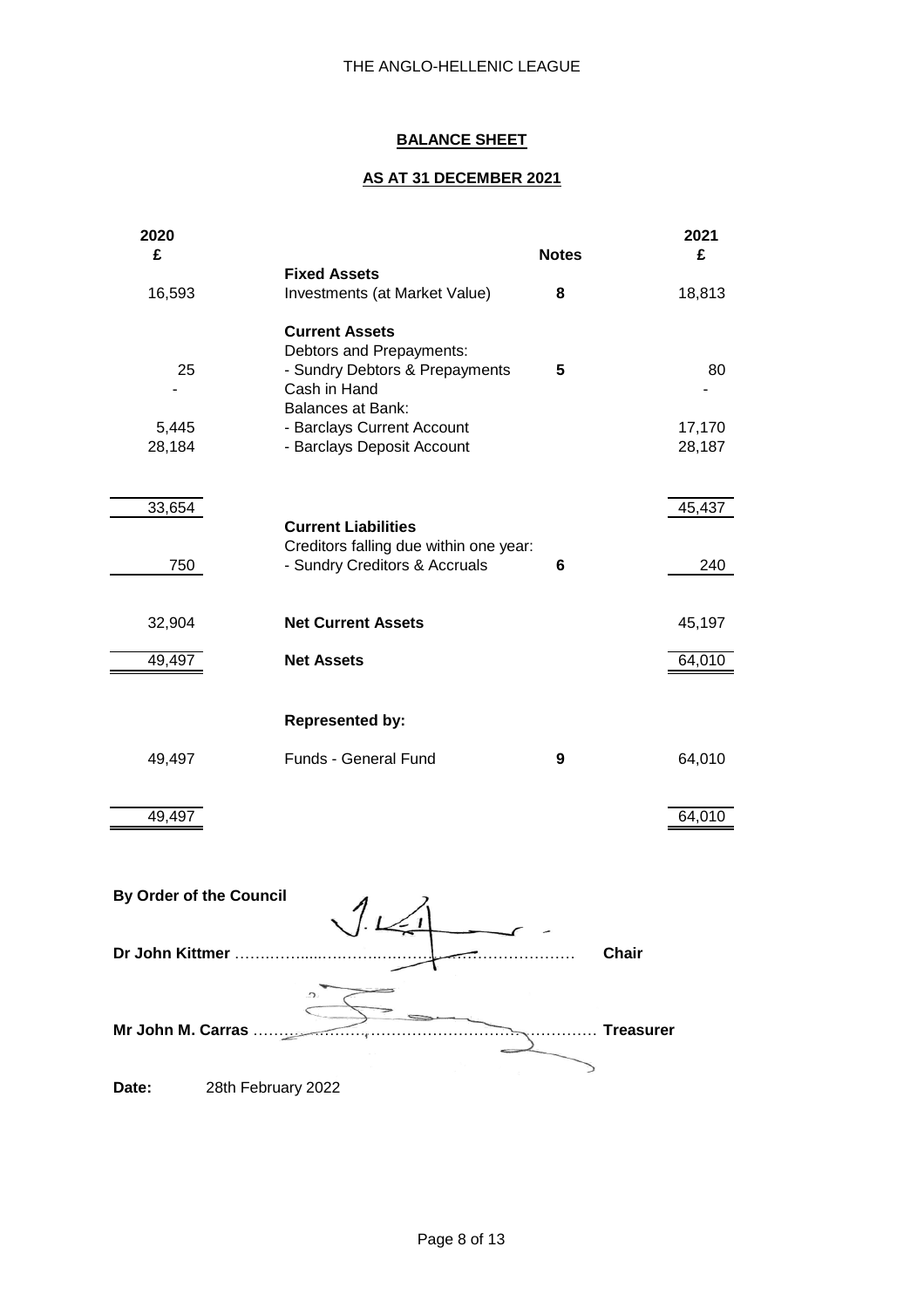# **BALANCE SHEET**

# **AS AT 31 DECEMBER 2021**

| 2020<br>£     |                                                                                                                                 | <b>Notes</b> | 2021<br>£     |
|---------------|---------------------------------------------------------------------------------------------------------------------------------|--------------|---------------|
|               | <b>Fixed Assets</b>                                                                                                             |              |               |
| 16,593        | Investments (at Market Value)                                                                                                   | 8            | 18,813        |
| 25            | <b>Current Assets</b><br>Debtors and Prepayments:<br>- Sundry Debtors & Prepayments<br>Cash in Hand<br><b>Balances at Bank:</b> | 5            | 80            |
| 5,445         | - Barclays Current Account                                                                                                      |              | 17,170        |
| 28,184        | - Barclays Deposit Account                                                                                                      |              | 28,187        |
| 33,654<br>750 | <b>Current Liabilities</b><br>Creditors falling due within one year:<br>- Sundry Creditors & Accruals                           | 6            | 45,437<br>240 |
| 32,904        | <b>Net Current Assets</b>                                                                                                       |              | 45,197        |
| 49,497        | <b>Net Assets</b>                                                                                                               |              | 64,010        |
|               | <b>Represented by:</b>                                                                                                          |              |               |
| 49,497        | Funds - General Fund                                                                                                            | 9            | 64,010        |
| 49,497        |                                                                                                                                 |              | 64,010        |

|                   | By Order of the Council |  |                  |
|-------------------|-------------------------|--|------------------|
| Dr John Kittmer   |                         |  | <b>Chair</b>     |
| Mr John M. Carras |                         |  | <b>Treasurer</b> |
| Date:             | 28th February 2022      |  |                  |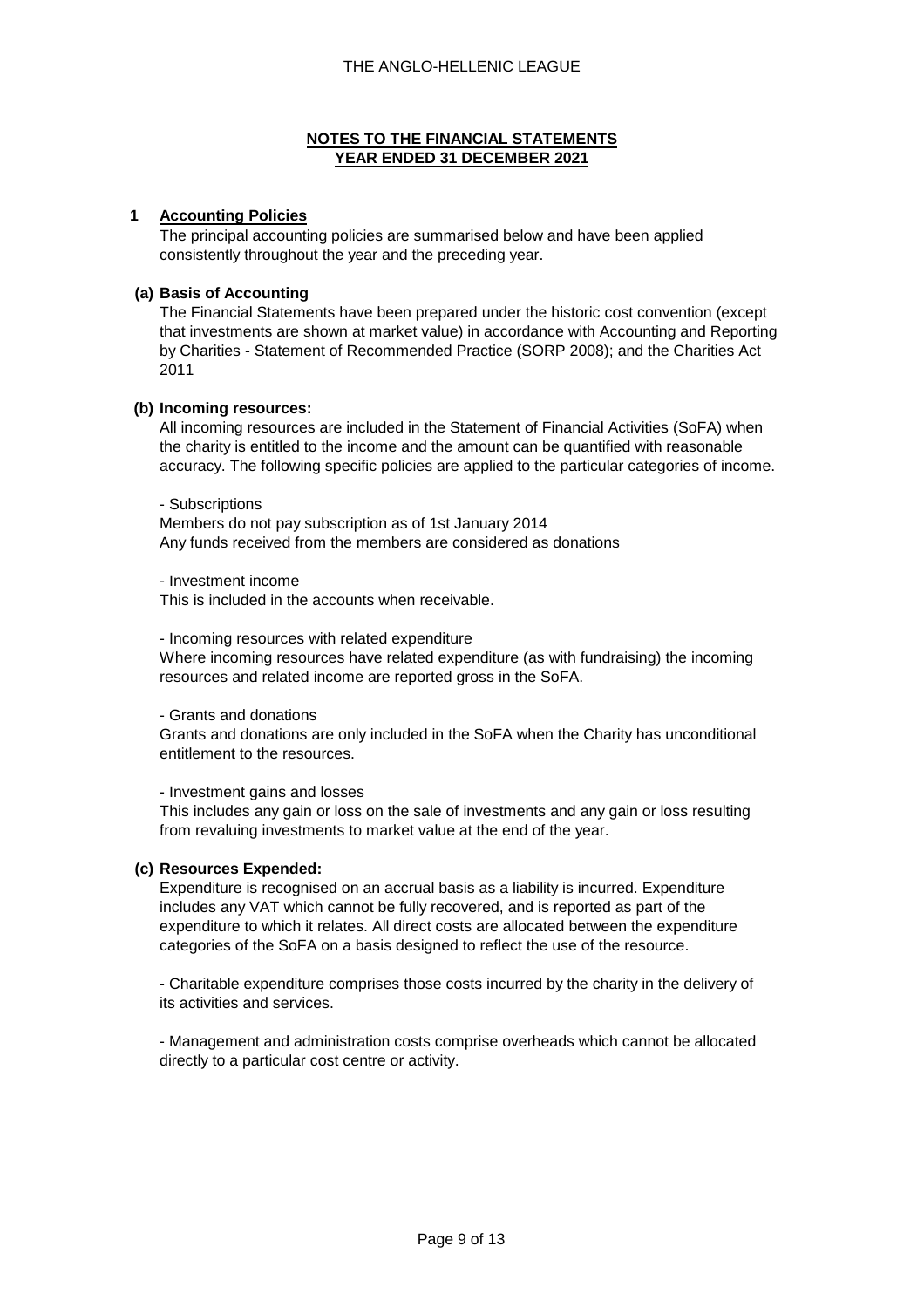### **1 Accounting Policies**

The principal accounting policies are summarised below and have been applied consistently throughout the year and the preceding year.

### **(a) Basis of Accounting**

The Financial Statements have been prepared under the historic cost convention (except that investments are shown at market value) in accordance with Accounting and Reporting by Charities - Statement of Recommended Practice (SORP 2008); and the Charities Act 2011

### **(b) Incoming resources:**

All incoming resources are included in the Statement of Financial Activities (SoFA) when the charity is entitled to the income and the amount can be quantified with reasonable accuracy. The following specific policies are applied to the particular categories of income.

- Subscriptions

Members do not pay subscription as of 1st January 2014 Any funds received from the members are considered as donations

- Investment income

This is included in the accounts when receivable.

- Incoming resources with related expenditure

Where incoming resources have related expenditure (as with fundraising) the incoming resources and related income are reported gross in the SoFA.

- Grants and donations

Grants and donations are only included in the SoFA when the Charity has unconditional entitlement to the resources.

#### - Investment gains and losses

This includes any gain or loss on the sale of investments and any gain or loss resulting from revaluing investments to market value at the end of the year.

#### **(c) Resources Expended:**

Expenditure is recognised on an accrual basis as a liability is incurred. Expenditure includes any VAT which cannot be fully recovered, and is reported as part of the expenditure to which it relates. All direct costs are allocated between the expenditure categories of the SoFA on a basis designed to reflect the use of the resource.

- Charitable expenditure comprises those costs incurred by the charity in the delivery of its activities and services.

- Management and administration costs comprise overheads which cannot be allocated directly to a particular cost centre or activity.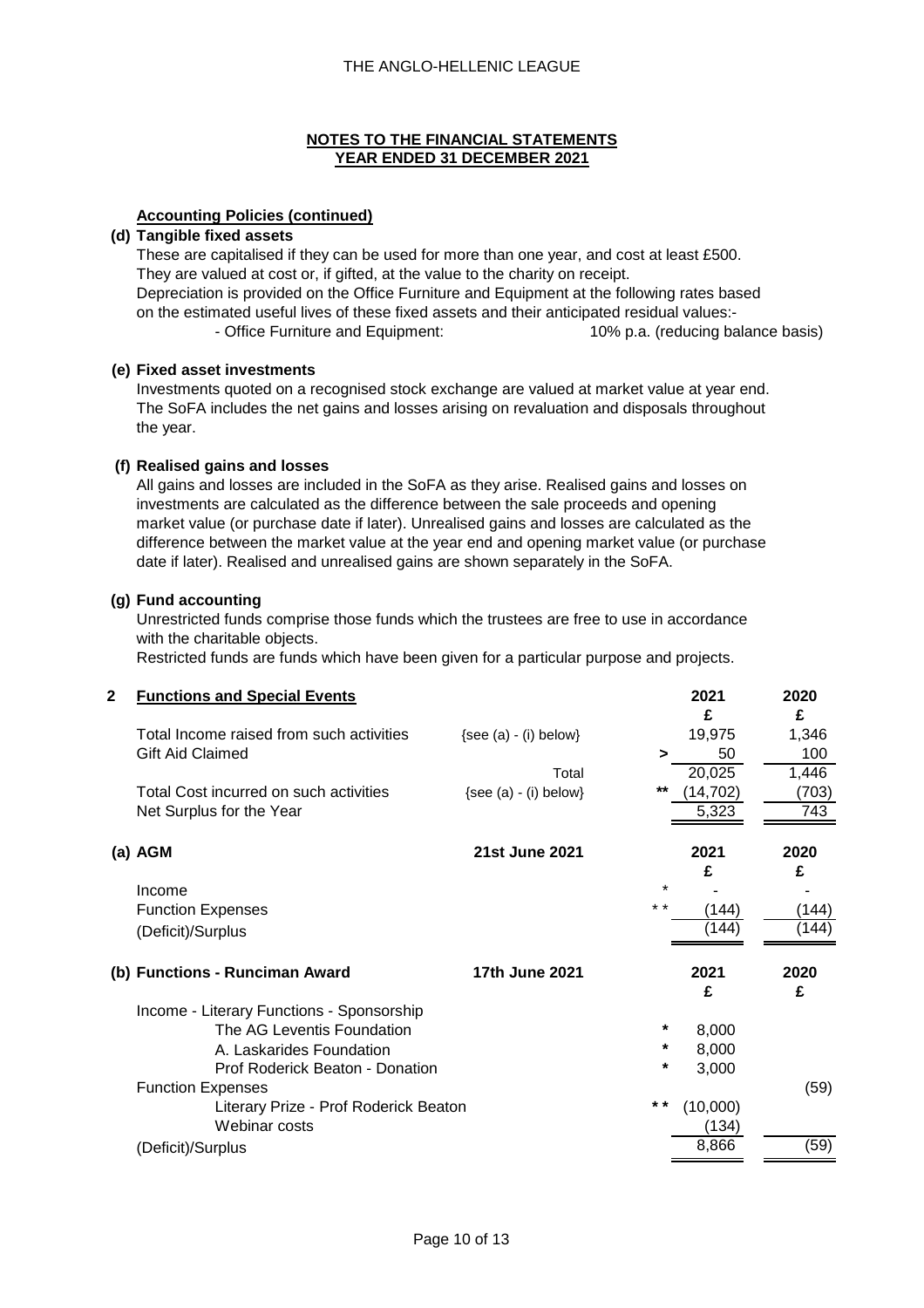### **Accounting Policies (continued)**

#### **(d) Tangible fixed assets**

These are capitalised if they can be used for more than one year, and cost at least £500. They are valued at cost or, if gifted, at the value to the charity on receipt. Depreciation is provided on the Office Furniture and Equipment at the following rates based on the estimated useful lives of these fixed assets and their anticipated residual values:- - Office Furniture and Equipment: 10% p.a. (reducing balance basis)

### **(e) Fixed asset investments**

Investments quoted on a recognised stock exchange are valued at market value at year end. The SoFA includes the net gains and losses arising on revaluation and disposals throughout the year.

### **(f) Realised gains and losses**

All gains and losses are included in the SoFA as they arise. Realised gains and losses on investments are calculated as the difference between the sale proceeds and opening market value (or purchase date if later). Unrealised gains and losses are calculated as the difference between the market value at the year end and opening market value (or purchase date if later). Realised and unrealised gains are shown separately in the SoFA.

### **(g) Fund accounting**

Unrestricted funds comprise those funds which the trustees are free to use in accordance with the charitable objects.

Restricted funds are funds which have been given for a particular purpose and projects.

| $\mathbf 2$ | <b>Functions and Special Events</b>       |                           |         | 2021      | 2020  |
|-------------|-------------------------------------------|---------------------------|---------|-----------|-------|
|             |                                           |                           |         | £         | £     |
|             | Total Income raised from such activities  | $\{see (a) - (i) below\}$ |         | 19,975    | 1,346 |
|             | <b>Gift Aid Claimed</b>                   |                           | $\geq$  | 50        | 100   |
|             |                                           | Total                     |         | 20,025    | 1,446 |
|             | Total Cost incurred on such activities    | $\{see (a) - (i) below\}$ | $***$   | (14, 702) | (703) |
|             | Net Surplus for the Year                  |                           |         | 5,323     | 743   |
|             | (a) AGM                                   | <b>21st June 2021</b>     |         | 2021      | 2020  |
|             |                                           |                           |         | £         | £     |
|             | Income                                    |                           | $\star$ |           |       |
|             | <b>Function Expenses</b>                  |                           | $* *$   | (144)     | (144) |
|             | (Deficit)/Surplus                         |                           |         | (144)     | (144) |
|             | (b) Functions - Runciman Award            | 17th June 2021            |         | 2021      | 2020  |
|             |                                           |                           |         | £         | £     |
|             | Income - Literary Functions - Sponsorship |                           |         |           |       |
|             | The AG Leventis Foundation                |                           | *       | 8,000     |       |
|             | A. Laskarides Foundation                  |                           | *       | 8,000     |       |
|             | Prof Roderick Beaton - Donation           |                           | *       | 3,000     |       |
|             | <b>Function Expenses</b>                  |                           |         |           | (59)  |
|             | Literary Prize - Prof Roderick Beaton     |                           | * *     | (10,000)  |       |
|             | Webinar costs                             |                           |         | (134)     |       |
|             | (Deficit)/Surplus                         |                           |         | 8,866     | (59)  |
|             |                                           |                           |         |           |       |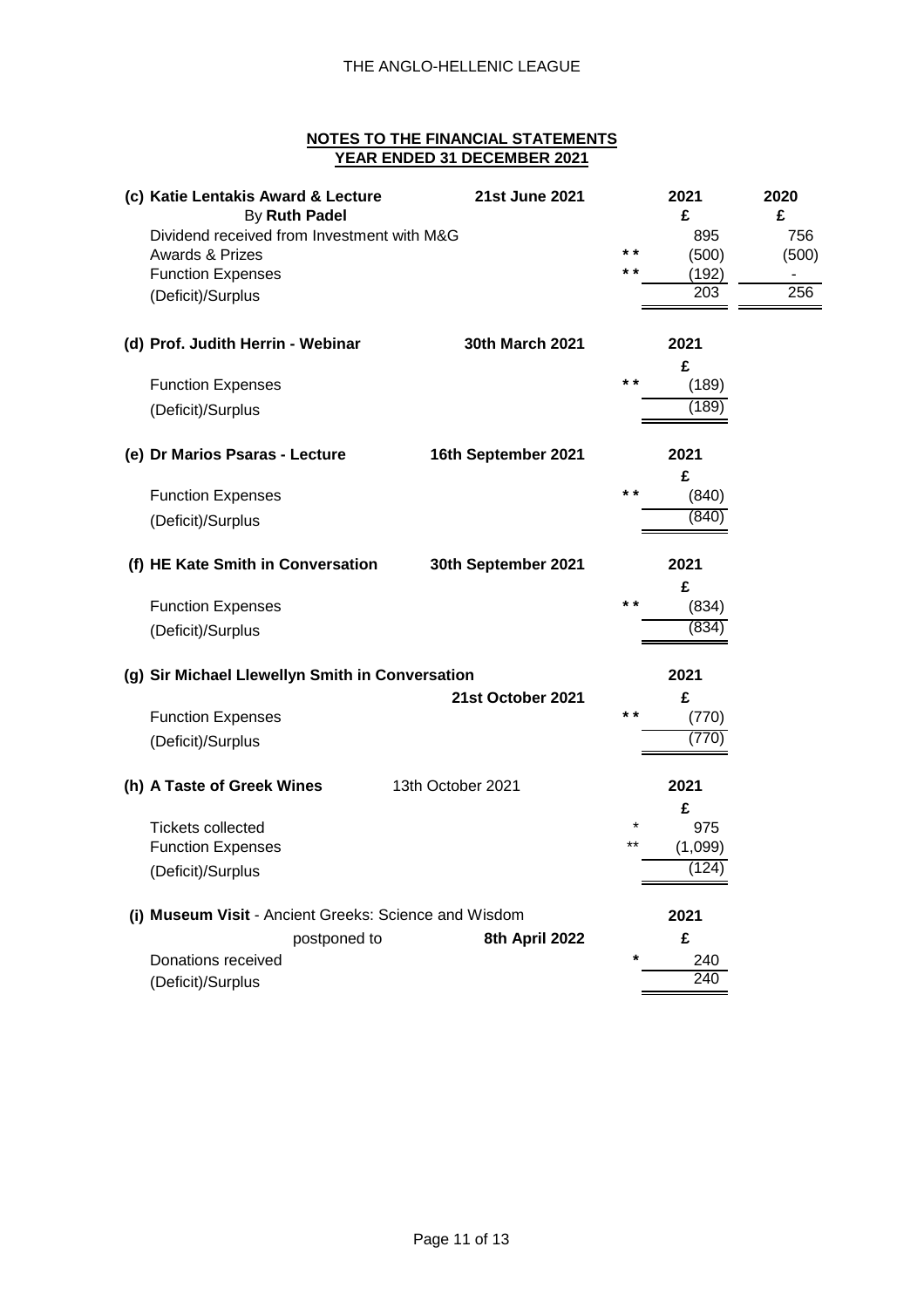| (c) Katie Lentakis Award & Lecture<br>By Ruth Padel   | 21st June 2021         |       | 2021<br>£  | 2020<br>£ |
|-------------------------------------------------------|------------------------|-------|------------|-----------|
| Dividend received from Investment with M&G            |                        |       | 895        | 756       |
| <b>Awards &amp; Prizes</b>                            |                        | $* *$ | (500)      | (500)     |
| <b>Function Expenses</b>                              |                        | * *   | (192)      |           |
| (Deficit)/Surplus                                     |                        |       | 203        | 256       |
| (d) Prof. Judith Herrin - Webinar                     | <b>30th March 2021</b> |       | 2021       |           |
|                                                       |                        |       | £          |           |
| <b>Function Expenses</b>                              |                        | $* *$ | (189)      |           |
| (Deficit)/Surplus                                     |                        |       | (189)      |           |
| (e) Dr Marios Psaras - Lecture                        | 16th September 2021    |       | 2021       |           |
|                                                       |                        |       | £          |           |
| <b>Function Expenses</b>                              |                        | $* *$ | (840)      |           |
| (Deficit)/Surplus                                     |                        |       | (840)      |           |
| (f) HE Kate Smith in Conversation                     | 30th September 2021    |       | 2021       |           |
|                                                       |                        |       | £          |           |
| <b>Function Expenses</b>                              |                        | $* *$ | (834)      |           |
| (Deficit)/Surplus                                     |                        |       | (834)      |           |
| (g) Sir Michael Llewellyn Smith in Conversation       |                        |       | 2021       |           |
|                                                       | 21st October 2021      |       | £          |           |
| <b>Function Expenses</b>                              |                        | $* *$ | (770)      |           |
| (Deficit)/Surplus                                     |                        |       | (770)      |           |
| (h) A Taste of Greek Wines                            | 13th October 2021      |       | 2021       |           |
|                                                       |                        |       | £          |           |
| <b>Tickets collected</b>                              |                        |       | 975        |           |
| <b>Function Expenses</b>                              |                        | $**$  | (1,099)    |           |
| (Deficit)/Surplus                                     |                        |       | (124)      |           |
| (i) Museum Visit - Ancient Greeks: Science and Wisdom |                        |       | 2021       |           |
| postponed to                                          | 8th April 2022         |       | £          |           |
| Donations received                                    |                        |       |            |           |
| (Deficit)/Surplus                                     |                        |       | 240<br>240 |           |
|                                                       |                        |       |            |           |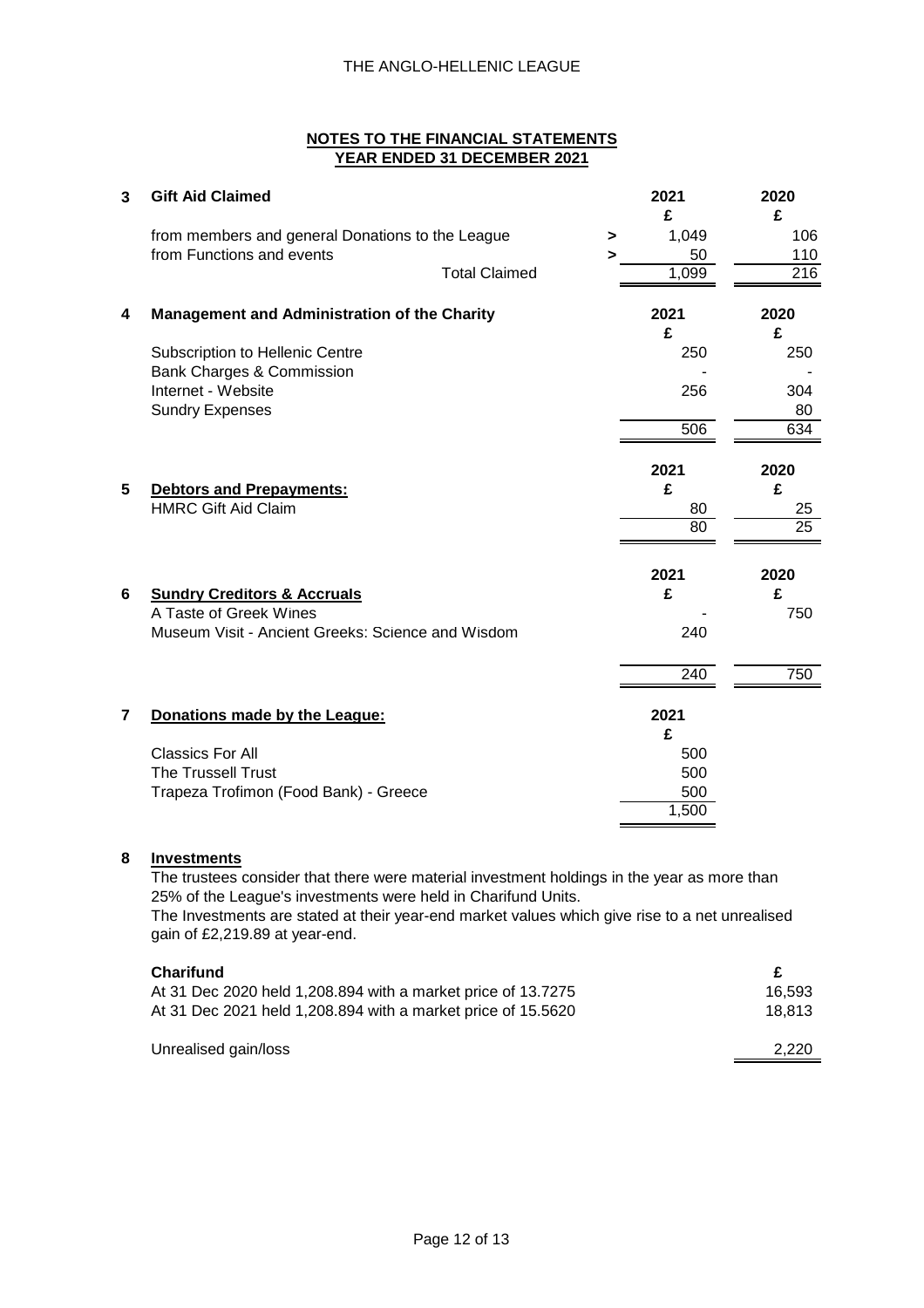| 3                       | <b>Gift Aid Claimed</b>                             |                       | 2021             | 2020            |
|-------------------------|-----------------------------------------------------|-----------------------|------------------|-----------------|
|                         | from members and general Donations to the League    | $\blacktriangleright$ | £<br>1,049       | £<br>106        |
|                         | from Functions and events                           | >                     | 50               | 110             |
|                         | <b>Total Claimed</b>                                |                       | 1,099            | 216             |
| 4                       | <b>Management and Administration of the Charity</b> |                       | 2021             | 2020            |
|                         |                                                     |                       | £                | £               |
|                         | <b>Subscription to Hellenic Centre</b>              |                       | 250              | 250             |
|                         | Bank Charges & Commission                           |                       |                  |                 |
|                         | Internet - Website                                  |                       | 256              | 304             |
|                         | <b>Sundry Expenses</b>                              |                       |                  | 80              |
|                         |                                                     |                       | 506              | 634             |
|                         |                                                     |                       | 2021             | 2020            |
| 5                       | <b>Debtors and Prepayments:</b>                     |                       | £                | £               |
|                         | <b>HMRC Gift Aid Claim</b>                          |                       | 80               | 25              |
|                         |                                                     |                       | $\overline{80}$  | $\overline{25}$ |
|                         |                                                     |                       | 2021             | 2020            |
| 6                       | <b>Sundry Creditors &amp; Accruals</b>              |                       | £                | £               |
|                         | A Taste of Greek Wines                              |                       |                  | 750             |
|                         | Museum Visit - Ancient Greeks: Science and Wisdom   |                       | 240              |                 |
|                         |                                                     |                       | $\overline{240}$ | 750             |
|                         |                                                     |                       |                  |                 |
| $\overline{\mathbf{r}}$ | Donations made by the League:                       |                       | 2021             |                 |
|                         |                                                     |                       | £                |                 |
|                         | <b>Classics For All</b>                             |                       | 500              |                 |
|                         | The Trussell Trust                                  |                       | 500              |                 |
|                         | Trapeza Trofimon (Food Bank) - Greece               |                       | 500              |                 |
|                         |                                                     |                       | 1,500            |                 |

# **8 Investments**

The trustees consider that there were material investment holdings in the year as more than 25% of the League's investments were held in Charifund Units. The Investments are stated at their year-end market values which give rise to a net unrealised gain of £2,219.89 at year-end.

| <b>Charifund</b>                                             | £      |
|--------------------------------------------------------------|--------|
| At 31 Dec 2020 held 1,208.894 with a market price of 13.7275 | 16.593 |
| At 31 Dec 2021 held 1,208.894 with a market price of 15.5620 | 18.813 |
| Unrealised gain/loss                                         | 2.220  |